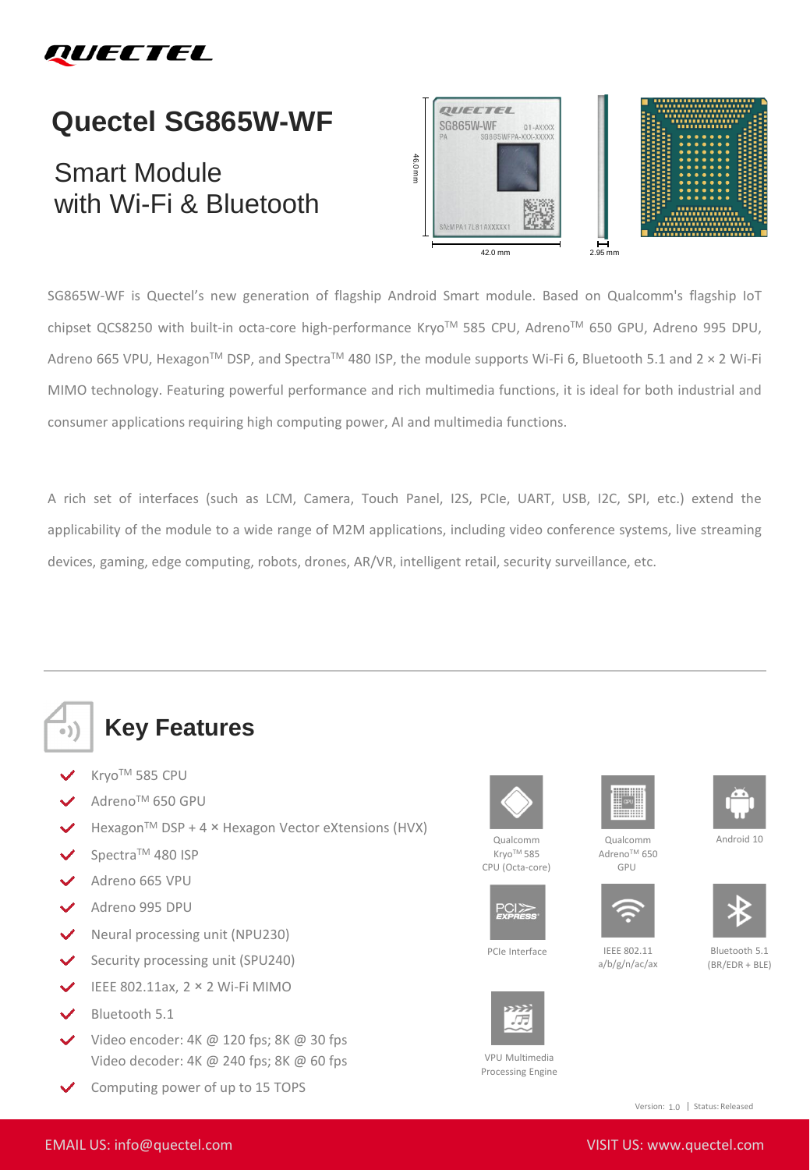

## **Quectel SG865W-WF**

## Smart Module with Wi-Fi & Bluetooth



SG865W-WF is Quectel's new generation of flagship Android Smart module. Based on Qualcomm's flagship IoT chipset QCS8250 with built-in octa-core high-performance Kryo™ 585 CPU, Adreno™ 650 GPU, Adreno 995 DPU, Adreno 665 VPU, Hexagon<sup>TM</sup> DSP, and Spectra<sup>TM</sup> 480 ISP, the module supports Wi-Fi 6, Bluetooth 5.1 and 2 × 2 Wi-Fi MIMO technology. Featuring powerful performance and rich multimedia functions, it is ideal for both industrial and consumer applications requiring high computing power, AI and multimedia functions.

A rich set of interfaces (such as LCM, Camera, Touch Panel, I2S, PCIe, UART, USB, I2C, SPI, etc.) extend the applicability of the module to a wide range of M2M applications, including video conference systems, live streaming devices, gaming, edge computing, robots, drones, AR/VR, intelligent retail, security surveillance, etc.



## **Key Features**

- KryoTM 585 CPU
- AdrenoTM 650 GPU
- Hexagon™ DSP + 4 × Hexagon Vector eXtensions (HVX)
- Spectra™ 480 ISP
- Adreno 665 VPU
- Adreno 995 DPU
- Neural processing unit (NPU230)
- Security processing unit (SPU240)  $\checkmark$
- IEEE 802.11ax, 2 × 2 Wi-Fi MIMO
- Bluetooth 5.1
- Video encoder: 4K @ 120 fps; 8K @ 30 fps Video decoder: 4K @ 240 fps; 8K @ 60 fps
- Computing power of up to 15 TOPS



Qualcomm Kryo™ 585 CPU (Octa-core)





Qualcomm Adreno™ 650 GPU



a/b/g/n/ac/ax

PCIe Interface IEEE 802.11

 $PCI$  $>$ 



VPU Multimedia Processing Engine



Android 10

Bluetooth 5.1 (BR/EDR + BLE)

Version: 1.0 | Status: Released